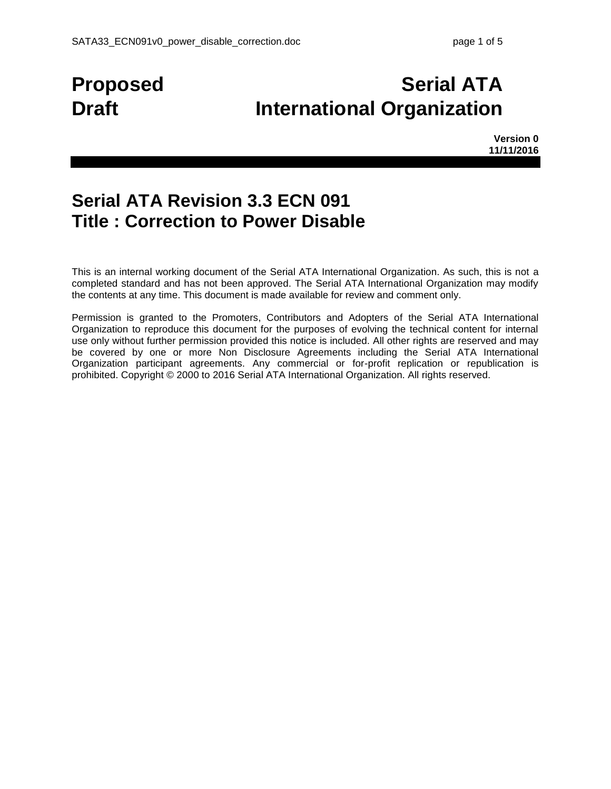# **Proposed Serial ATA Draft International Organization**

**Version 0 11/11/2016**

## **Serial ATA Revision 3.3 ECN 091 Title : Correction to Power Disable**

This is an internal working document of the Serial ATA International Organization. As such, this is not a completed standard and has not been approved. The Serial ATA International Organization may modify the contents at any time. This document is made available for review and comment only.

Permission is granted to the Promoters, Contributors and Adopters of the Serial ATA International Organization to reproduce this document for the purposes of evolving the technical content for internal use only without further permission provided this notice is included. All other rights are reserved and may be covered by one or more Non Disclosure Agreements including the Serial ATA International Organization participant agreements. Any commercial or for-profit replication or republication is prohibited. Copyright © 2000 to 2016 Serial ATA International Organization. All rights reserved.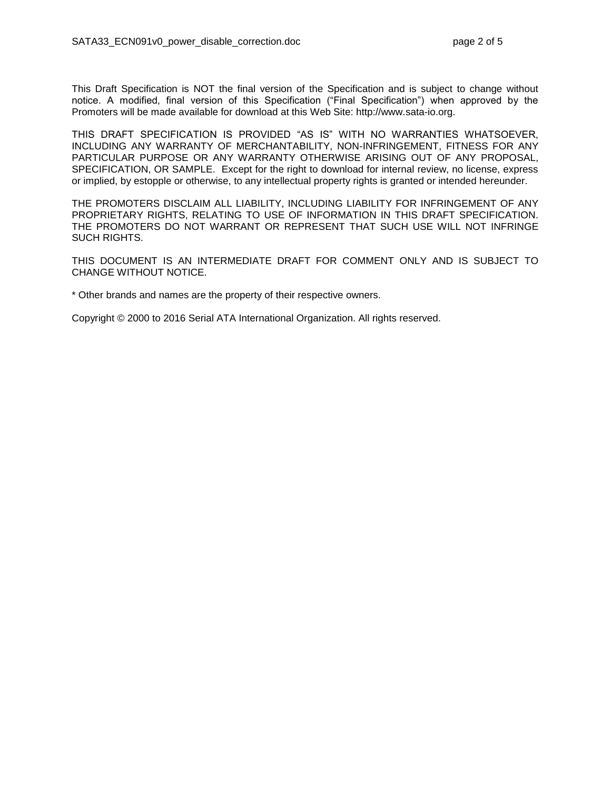This Draft Specification is NOT the final version of the Specification and is subject to change without notice. A modified, final version of this Specification ("Final Specification") when approved by the Promoters will be made available for download at this Web Site: http://www.sata-io.org.

THIS DRAFT SPECIFICATION IS PROVIDED "AS IS" WITH NO WARRANTIES WHATSOEVER, INCLUDING ANY WARRANTY OF MERCHANTABILITY, NON-INFRINGEMENT, FITNESS FOR ANY PARTICULAR PURPOSE OR ANY WARRANTY OTHERWISE ARISING OUT OF ANY PROPOSAL, SPECIFICATION, OR SAMPLE. Except for the right to download for internal review, no license, express or implied, by estopple or otherwise, to any intellectual property rights is granted or intended hereunder.

THE PROMOTERS DISCLAIM ALL LIABILITY, INCLUDING LIABILITY FOR INFRINGEMENT OF ANY PROPRIETARY RIGHTS, RELATING TO USE OF INFORMATION IN THIS DRAFT SPECIFICATION. THE PROMOTERS DO NOT WARRANT OR REPRESENT THAT SUCH USE WILL NOT INFRINGE SUCH RIGHTS.

THIS DOCUMENT IS AN INTERMEDIATE DRAFT FOR COMMENT ONLY AND IS SUBJECT TO CHANGE WITHOUT NOTICE.

\* Other brands and names are the property of their respective owners.

Copyright © 2000 to 2016 Serial ATA International Organization. All rights reserved.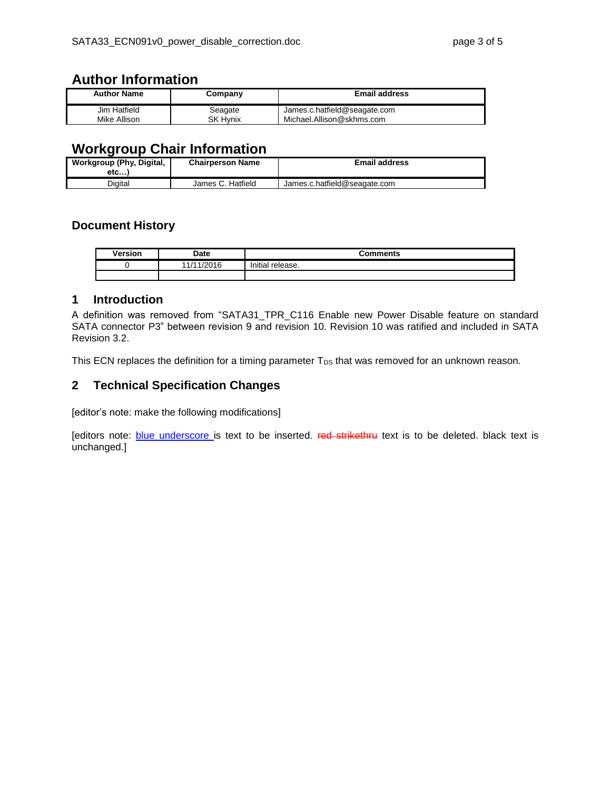### **Author Information**

| <b>Author Name</b> | Company         | <b>Email address</b>         |  |
|--------------------|-----------------|------------------------------|--|
| Jim Hatfield       | Seagate         | James.c.hatfield@seagate.com |  |
| Mike Allison       | <b>SK Hynix</b> | Michael.Allison@skhms.com    |  |

### **Workgroup Chair Information**

| Workgroup (Phy, Digital,<br>etc | <b>Chairperson Name</b> | <b>Email address</b>         |
|---------------------------------|-------------------------|------------------------------|
| Digital                         | James C. Hatfield       | James.c.hatfield@seagate.com |

#### **Document History**

| <b>Version</b> | Date       | <b>Comments</b>  |  |  |
|----------------|------------|------------------|--|--|
|                | 11/11/2016 | Initial release. |  |  |
|                |            |                  |  |  |

#### **1 Introduction**

A definition was removed from "SATA31\_TPR\_C116 Enable new Power Disable feature on standard SATA connector P3" between revision 9 and revision 10. Revision 10 was ratified and included in SATA Revision 3.2.

This ECN replaces the definition for a timing parameter  $T_{DS}$  that was removed for an unknown reason.

#### **2 Technical Specification Changes**

[editor's note: make the following modifications]

[editors note: blue underscore is text to be inserted. Fed strikethru text is to be deleted. black text is unchanged.]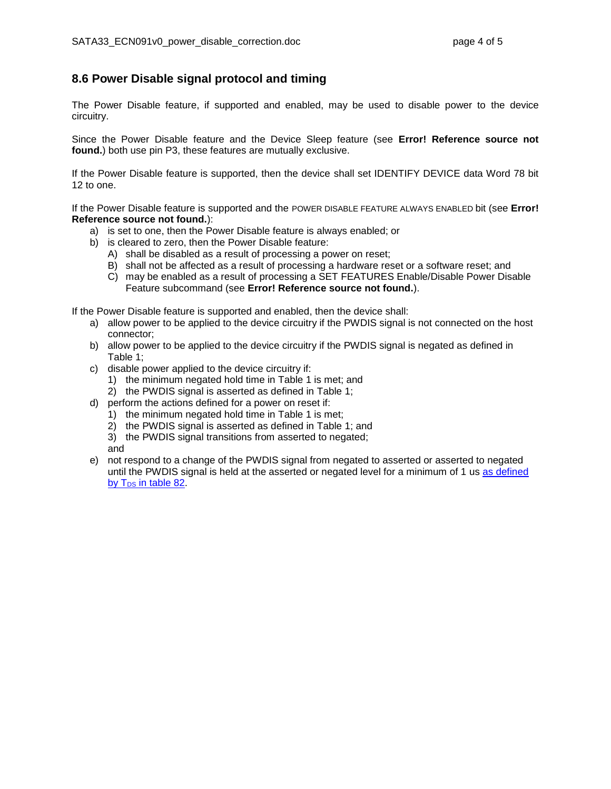#### **8.6 Power Disable signal protocol and timing**

The Power Disable feature, if supported and enabled, may be used to disable power to the device circuitry.

Since the Power Disable feature and the Device Sleep feature (see **Error! Reference source not found.**) both use pin P3, these features are mutually exclusive.

If the Power Disable feature is supported, then the device shall set IDENTIFY DEVICE data Word 78 bit 12 to one.

If the Power Disable feature is supported and the POWER DISABLE FEATURE ALWAYS ENABLED bit (see **Error! Reference source not found.**):

- a) is set to one, then the Power Disable feature is always enabled; or
- b) is cleared to zero, then the Power Disable feature:
	- A) shall be disabled as a result of processing a power on reset;
	- B) shall not be affected as a result of processing a hardware reset or a software reset; and
	- C) may be enabled as a result of processing a SET FEATURES Enable/Disable Power Disable Feature subcommand (see **Error! Reference source not found.**).

If the Power Disable feature is supported and enabled, then the device shall:

- a) allow power to be applied to the device circuitry if the PWDIS signal is not connected on the host connector;
- b) allow power to be applied to the device circuitry if the PWDIS signal is negated as defined in [Table 1;](#page-4-0)
- c) disable power applied to the device circuitry if:
	- 1) the minimum negated hold time in [Table 1](#page-4-0) is met; and
	- 2) the PWDIS signal is asserted as defined in [Table 1;](#page-4-0)
- d) perform the actions defined for a power on reset if:
	- 1) the minimum negated hold time in [Table 1](#page-4-0) is met;
	- 2) the PWDIS signal is asserted as defined in [Table 1;](#page-4-0) and
	- 3) the PWDIS signal transitions from asserted to negated;
	- and
- e) not respond to a change of the PWDIS signal from negated to asserted or asserted to negated until the PWDIS signal is held at the asserted or negated level for a minimum of 1 us as defined by T<sub>DS</sub> in table 82.